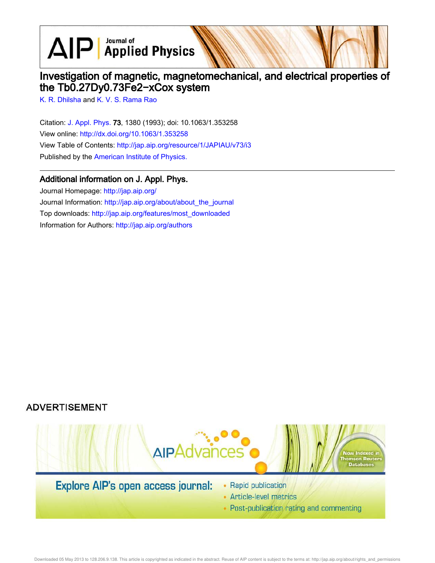$\text{AlP}$  Applied Physics

# Investigation of magnetic, magnetomechanical, and electrical properties of the Tb0.27Dy0.73Fe2−xCox system

K. R. Dhilsha and K. V. S. Rama Rao

Citation: J. Appl. Phys. 73, 1380 (1993); doi: 10.1063/1.353258 View online: http://dx.doi.org/10.1063/1.353258 View Table of Contents: http://jap.aip.org/resource/1/JAPIAU/v73/i3 Published by the American Institute of Physics.

## Additional information on J. Appl. Phys.

Journal Homepage: http://jap.aip.org/ Journal Information: http://jap.aip.org/about/about\_the\_journal Top downloads: http://jap.aip.org/features/most\_downloaded Information for Authors: http://jap.aip.org/authors

# **ADVERTISEMENT**



• Post-publication rating and commenting

Downloaded 05 May 2013 to 128.206.9.138. This article is copyrighted as indicated in the abstract. Reuse of AIP content is subject to the terms at: http://jap.aip.org/about/rights\_and\_permissions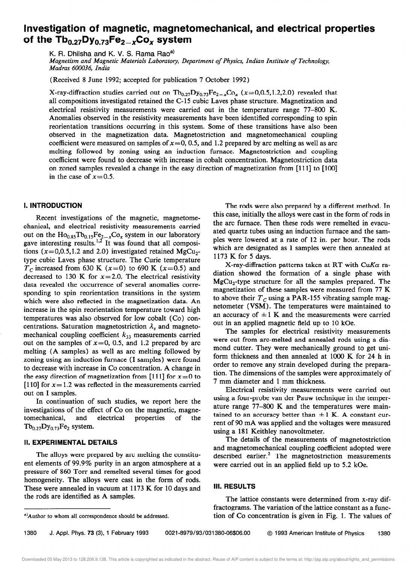# Investigation of magnetic, magnetomechanical, and electrical properties of the  $\text{Tb}_{0.27}$ Dy<sub>0.73</sub>Fe<sub>2-x</sub>Co<sub>x</sub> system

K. R. Dhilsha and K. V. S. Rama Rao<sup>a)</sup>

Magnetism and Magnetic Materials Laboratory, Department of Physics, Indian Institute of Technology, Madras 600036, India

(Received 8 June 1992; accepted for publication 7 October 1992)

X-ray-diffraction studies carried out on  $Tb_{0.27}Dy_{0.73}Fe_{2-x}Co_x$  (x=0,0.5,1.2,2.0) revealed that all compositions investigated retained the C-15 cubic Laves phase structure. Magnetization and electrical resistivity measurements were carried out in the temperature range 77-800 K. Anomalies observed in the resistivity measurements have been identified corresponding to spin reorientation transitions occurring in this system. Some of these transitions have also been observed in the magnetization data. Magnetostriction and magnetomechanical coupling coefficient were measured on samples of  $x=0$ , 0.5, and 1.2 prepared by arc melting as well as arc melting followed by zoning using an induction furnace. Magnetostriction and coupling coefficient were found to decrease with increase in cobalt concentration. Magnetostriction data on zoned samples revealed a change in the easy direction of magnetization from [111] to [100] in the case of  $x=0.5$ .

### I. INTRODUCTION

Recent investigations of the magnetic, magnetomechanical, and electrical resistivity measurements carried out on the  $Ho_{0.85}Tb_{0.15}Fe_{2-x}Co_x$  system in our laboratory gave interesting results.<sup>1,2</sup> It was found that all composi tions ( $x=0,0.5,1.2$  and 2.0) investigated retained MgCu<sub>2</sub>type cubic Laves phase structure. The Curie temperature  $T_c$  increased from 630 K (x=0) to 690 K (x=0.5) and decreased to 130 K for  $x=2.0$ . The electrical resistivity data revealed the occurrence of several anomalies corresponding to spin reorientation transitions in the system which were also reflected in the magnetization data. An increase in the spin reorientation temperature toward high temperatures was also observed for low cobalt (Co) concentrations. Saturation magnetostriction  $\lambda_s$  and magnetomechanical coupling coefficient  $k_{33}$  measurements carried out on the samples of  $x=0$ , 0.5, and 1.2 prepared by arc melting (A samples) as well as arc melting followed by zoning using an induction furnace (I samples) were found to decrease with increase in Co concentration. A change in the easy direction of magnetization from [111] for  $x=0$  to [110] for  $x = 1.2$  was reflected in the measurements carried out on I samples.

In continuation of such studies, we report here the investigations of the effect of Co on the magnetic, magnetomechanical, and electrical properties of the  $Tb_{0.27}Dy_{0.73}Fe_2$  system.

#### II. EXPERIMENTAL DETAILS

The alloys were prepared by arc melting the constituent elements of 99.9% purity in an argon atmosphere at a pressure of 860 Torr and remelted several times for good homogeneity. The alloys were cast in the form of rods. These were annealed in vacuum at 1173 K for 10 days and the rods are identified as A samples.

The rods were also prepared by a different method. In this case, initially the alloys were cast in the form of rods in the arc furnace. Then these rods were remelted in evacuated quartz tubes using an induction furnace and the samples were lowered at a rate of 12 in. per hour. The rods which are designated as I samples were then annealed at 1173 K for 5 days.

X-ray-diffraction patterns taken at RT with CuK $\alpha$  radiation showed the formation of a single phase with  $MgCu<sub>2</sub>$ -type structure for all the samples prepared. The magnetization of these samples were measured from 77 K to above their  $T_c$  using a PAR-155 vibrating sample magnetometer (VSM). The temperatures were maintained to an accuracy of  $\pm 1$  K and the measurements were carried out in an applied magnetic field up to 10 kOe.

The samples for electrical resistivity measurements were cut from arc-melted and annealed rods using a diamond cutter. They were mechanically ground to get uniform thickness and then annealed at 1000 K for 24 h in order to remove any strain developed during the preparation. The dimensions of the samples were approximately of 7 mm diameter and 1 mm thickness.

Electrical resistivity measurements were carried out using a four-probe van der Pauw technique in the temperature range 77-800 K and the temperatures were maintained to an accuracy better than  $\pm 1$  K. A constant current of 90 mA was applied and the voltages were measured using a 181 Keithley nanovoltmeter.

The details of the measurements of magnetostriction and magnetomechanical coupling coefficient adopted were described earlier.<sup>2</sup> The magnetostriction measurements were carried out in an applied field up to 5.2 kOe.

### Ill. RESULTS

The lattice constants were determined from x-ray diffractograms. The variation of the lattice constant as a function of Co concentration is given in Fig. 1. The values of

1380 J. Appl. Phys. 73 (31, 1 February 1993 0021-8979/93/031380-06\$06.00 0 1993 American institute of Physics 1380

a)Author to whom all correspondence should be addressed.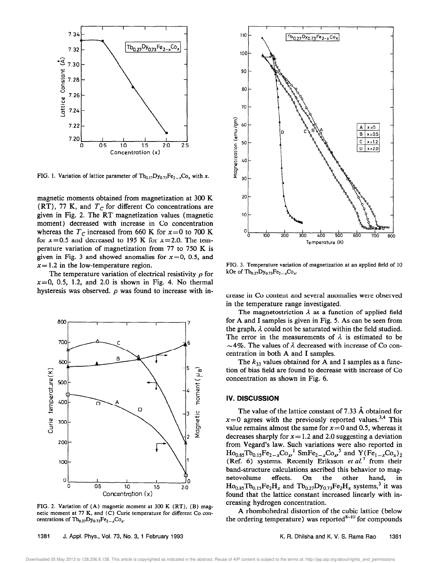

FIG. 1. Variation of lattice parameter of  $Tb_{0.27}Dy_{0.73}Fe_{2-x}Co_x$  with x.

magnetic moments obtained from magnetization at 300 K (RT), 77 K, and  $T_c$  for different Co concentrations are given in Fig. 2. The RT magnetization values (magnetic moment) decreased with increase in Co concentration whereas the  $T_c$  increased from 660 K for  $x=0$  to 700 K for  $x=0.5$  and decreased to 195 K for  $x=2.0$ . The temperature variation of magnetization from 77 to 750 K is given in Fig. 3 and showed anomalies for  $x=0$ , 0.5, and  $x=1.2$  in the low-temperature region.

The temperature variation of electrical resistivity  $\rho$  for  $x=0$ , 0.5, 1.2, and 2.0 is shown in Fig. 4. No thermal hysteresis was observed.  $\rho$  was found to increase with in-



FIG. 2. Variation of (A) magnetic moment at 300 K (RT), (B) magnetic moment at 77 K, and (C) Curie temperature for different Co concentrations of  $Tb_{0,27}Dy_{0,73}Fe_{2-x}Co_x$ 



FIG. 3. Temperature variation of magnetization at an applied field of 10 kOe of  $Tb_{0.27}Dy_{0.73}Fe_{2-x}Co_x$ .

crease in Co content and several anomalies were observed in the temperature range investigated.

The magnetostriction  $\lambda$  as a function of applied field for A and I samples is given in Fig. 5. As can be seen from the graph,  $\lambda$  could not be saturated within the field studied. The error in the measurements of  $\lambda$  is estimated to be  $\sim$  4%. The values of  $\lambda$  decreased with increase of Co concentration in both A and I samples.

The  $k_{33}$  values obtained for A and I samples as a function of bias field are found to decrease with increase of Co concentration as shown in Fig. 6.

### IV. DISCUSSION

The value of the lattice constant of 7.33 Å obtained for  $x=0$  agrees with the previously reported values.<sup>3,4</sup> This value remains almost the same for  $x = 0$  and 0.5, whereas it decreases sharply for  $x = 1.2$  and 2.0 suggesting a deviation from Vegard's law. Such variations were also reported in  $\text{Ho}_{0.85}\text{To}_{0.15}\text{Fe}_{2-x}\text{Co}_{x}^{-1} \text{ SmFe}_{2-x}\text{Co}_{x}^{-5} \text{ and } \text{Y}(\text{Fe}_{1-x}\text{Co}_{x})_{2}$ (Ref. 6) systems. Recently Eriksson et  $al$ <sup>7</sup> from their band-structure calculations ascribed this behavior to magnetovolume effects. On the other hand, in netovolume effects. On the other hand, in  $Ho_{0.85}Tb_{0.15}Fe_2H_x$  and  $Tb_{0.27}Dy_{0.73}Fe_2H_x$  systems,<sup>3</sup> it was found that the lattice constant increased linearly with increasing hydrogen concentration.

A rhombohedral distortion of the cubic lattice (below the ordering temperature) was reported $^{8-10}$  for compounds

Downloaded 05 May 2013 to 128.206.9.138. This article is copyrighted as indicated in the abstract. Reuse of AIP content is subject to the terms at: http://jap.aip.org/about/rights\_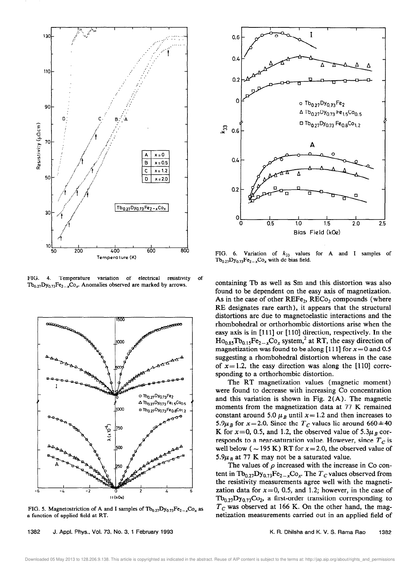

FIG. 4. Temperature variation of electrical resistivity of  $Tb_{0,27}Dy_{0,73}Fe_{2-x}Co_x$ . Anomalies observed are marked by arrows.



FIG. 5. Magnetostriction of A and I samples of  $Tb_{0.27}Dy_{0.73}Fe_{2-x}Co_x$  as a function of applied field at RT.



FIG. 6. Variation of  $k_{33}$  values for A and  $Tb_{0.27}Dy_{0.73}Fe_{2-x}Co_x$  with dc bias field. I samples of

containing Tb as well as Sm and this distortion was also found to be dependent on the easy axis of magnetization. As in the case of other  $REF_{2}$ ,  $RECo_{2}$  compounds (where RE designates rare earth), it appears that the structural distortions are due to magnetoelastic interactions and the rhombohedral or orthorhombic distortions arise when the easy axis is in [111] or [110] direction, respectively. In the  $Ho_{0.85}Tb_{0.15}Fe_{2-x}Co_x$  system,<sup>2</sup> at RT, the easy direction of magnetization was found to be along [111] for  $x=0$  and 0.5 suggesting a rhombohedral distortion whereas in the case of  $x=1.2$ , the easy direction was along the [110] corresponding to a orthorhombic distortion.

The RT magnetization values (magnetic moment) were found to decrease with increasing Co concentration and this variation is shown in Fig. 2(A). The magnetic moments from the magnetization data at 77 K remained constant around 5.0  $\mu_B$  until x= 1.2 and then increases to 5.9 $\mu_B$  for x=2.0. Since the T<sub>c</sub> values lie around 660 ±40 K for  $x=0$ , 0.5, and 1.2, the observed value of 5.3 $\mu_B$  corresponds to a near-saturation value. However, since  $T_c$  is well below ( $\sim$  195 K) RT for x = 2.0, the observed value of 5.9 $\mu_{B}$  at 77 K may not be a saturated value.

The values of  $\rho$  increased with the increase in Co content in  $Tb_{0.27}Dy_{0.73}Fe_{2-x}Co_x$ . The  $T_c$  values observed from the resistivity measurements agree well with the magnetization data for  $x=0$ , 0.5, and 1.2; however, in the case of  $Tb_{0.27}Dy_{0.73}Co_2$ , a first-order transition corresponding to  $T_c$  was observed at 166 K. On the other hand, the magnetization measurements carried out in an applied field of

1382 J. Appl. Phys., Vol. 73, No. 3, 1 February 1993 K. R. Philsha and K. V. S. Rama Rao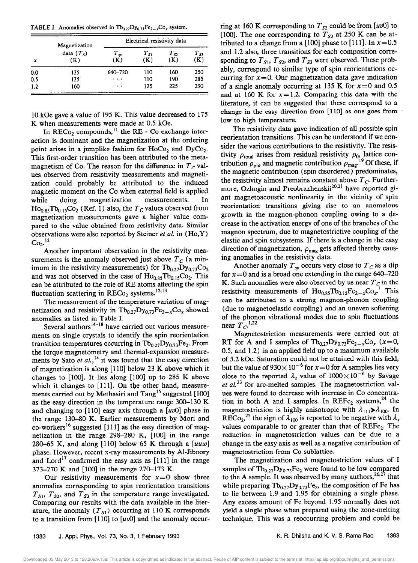TABLE I. Anomalies observed in  $Tb_{0.27}Dy_{0.73}Fe_{2-x}Co_{x}$  system.

| x   | Magnetization<br>data $(T_s)$<br>(K) | Electrical resistivity data |                 |                 |                 |
|-----|--------------------------------------|-----------------------------|-----------------|-----------------|-----------------|
|     |                                      | $T_{sp}$<br>(K)             | $T_{S1}$<br>(K) | $T_{S2}$<br>(K) | $T_{S3}$<br>(K) |
| 0.0 | 135                                  | 640-720                     | 110             | 160             | 250             |
| 0.5 | 135                                  | $\cdots$                    | 110             | 190             | 285             |
| 1.2 | 160                                  | $\cdots$                    | 125             | 225             | 290             |

10 kOe gave a value of 195 K. This value decreased to 175 K when measurements were made at 0.5 kOe.

In RECo<sub>2</sub> compounds,<sup>11</sup> the RE - Co exchange interaction is dominant and the magnetization at the ordering point arises in a jumplike fashion for  $HoCo<sub>2</sub>$  and  $DyCo<sub>2</sub>$ . This first-order transition has been attributed to the metamagnetism of Co. The reason for the difference in  $T_c$  values observed from resistivity measurements and magnetization could probably be attributed to the induced magnetic moment on the Co when external field is applied while doing magnetization measurements. In  $Ho_{0.85}Tb_{0.15}Co_2$  (Ref. 1) also, the  $T_C$  values observed from magnetization measurements gave a higher value compared to the value obtained from resistivity data. Similar observations were also reported by Steiner et al. in  $(Ho, Y)$  $Co<sub>2</sub>$ .<sup>12</sup>

Another important observation in the resistivity measurements is the anomaly observed just above  $T_c$  (a minimum in the resistivity measurements) for  $Tb_{0.27}Dy_{0.73}Co_2$ and was not observed in the case of  $Ho<sub>0.85</sub> To<sub>0.15</sub> Co<sub>2</sub>$ . This can be attributed to the role of RE atoms affecting the spin fluctuation scattering in RECo<sub>2</sub> systems.<sup>12,13</sup>

The measurement of the temperature variation of magnetization and resistivity in  $Tb_{0,27}Dy_{0,73}Fe_{2-x}Co_x$  showed anomalies as listed in Table I.

Several authors<sup>14-18</sup> have carried out various measurements on single crystals to identify the spin reorientation transition temperatures occurring in  $Tb_{0,27}Dy_{0,73}Fe_2$ . From the torque magnetometry and thermal-expansion measurements by Sato et  $al$ ,<sup>14</sup> it was found that the easy direction of magnetization is along  $[110]$  below 23 K above which it changes to  $[100]$ . It lies along  $[100]$  up to 285 K above which it changes to [111]. On the other hand, measurements carried out by Methasiri and Tang<sup>15</sup> suggested [100] as the easy direction in the temperature range 300-130 K and changing to [110] easy axis through a  $[uv0]$  phase in the range 130-80 K. Earlier measurements by Mori and co-workers<sup>16</sup> suggested [111] as the easy direction of magnetization in the range 298-280 K, [lOO] in the range 280-65 K, and along  $[110]$  below 65 K through a  $[uuw]$ phase. However, recent x-ray measurements by Al-Jiboory and Lord<sup>17</sup> confirmed the easy axis as  $[111]$  in the range 373-270 K and [lOO] in the range 270-173 K.

Our resistivity measurements for  $x=0$  show three anomalies corresponding to spin reorientation transitions  $T_{S1}$ ,  $T_{S2}$ , and  $T_{S3}$  in the temperature range investigated. Comparing our results with the data available in the literature, the anomaly  $(T_{S1})$  occurring at 110 K corresponds to a transition from [110] to  $[uv0]$  and the anomaly occurring at 160 K corresponding to  $T_{S2}$  could be from [uv0] to [100]. The one corresponding to  $T_{S3}$  at 250 K can be attributed to a change from a [100] phase to [111]. In  $x=0.5$ and 1.2 also, three transitions for each composition corresponding to  $T_{S1}$ ,  $T_{S2}$ , and  $T_{S3}$  were observed. These probably, correspond to similar type of spin reorientations occurring for  $x=0$ . Our magnetization data gave indication of a single anomaly occurring at 135 K for  $x=0$  and 0.5 and at 160 K for  $x=1.2$ . Comparing this data with the literature, it can be suggested that these correspond to a change in the easy direction from [110] as one goes from low to high temperature.

The resistivity data gave indication of all possible spin reorientation transitions. This can be understood if we consider the various contributions to the resistivity. The resistivity  $\rho_{\text{total}}$  arises from residual resistivity  $\rho_{0}$  lattice contribution  $\rho_{\rm ph}$ , and magnetic contribution  $\rho_{\rm mag}$ . Of these, if the magnetic contribution (spin disordered) predominates, the resistivity almost remains constant above  $T_c$ . Furthermore, Ozhogin and Preobrazhenskii<sup>20,21</sup> have reported giant magnetoacoustic nonlinearity in the vicinity of spin reorientation transitions giving rise to an anomalous growth in the magnon-phonon coupling owing to a decrease in the activation energy of one of the branches of the magnon spectrum, due to magnetostrictive coupling of the elastic and spin subsystems. If there is a change in the easy direction of magnetization,  $\rho_{\text{mag}}$  gets affected thereby causing anomalies in the resistivity data.

Another anomaly  $T_{sp}$  occurs very close to  $T_c$  as a dip for  $x=0$  and is a broad one extending in the range 640-720 K. Such anomalies were also observed by us near  $T_c$  in the resistivity measurements of  $Ho_{0.85}Tb_{0.15}Fe_{2-x}Co_x$ .<sup>1</sup> This can be attributed to a strong magnon-phonon coupling (due to magnetoelastic coupling) and an uneven softening of the phonon vibrational modes due to spin fluctuations near  $T_C$ <sup>1,22</sup>

Magnetostriction measurements were carried out at RT for A and I samples of  $Tb_{0,27}Dy_{0,73}Fe_{2-x}Co_x$  (x=0, 0.5, and 1.2) in an applied field up to a maximum available of 5.2 kOe. Saturation could not be attained with this field, but the value of  $930 \times 10^{-6}$  for  $x=0$  for A samples lies very close to the reported  $\lambda_s$  value of  $1000 \times 10^{-6}$  by Savage et  $al^{23}$  for arc-melted samples. The magnetostriction values were found to decrease with increase in Co concentration in both A and I samples. In  $REFe_2$  systems,<sup>24</sup> the magnetostriction is highly anisotropic with  $\lambda_{111} \lambda_{100}$ . In RECo<sub>2</sub>,<sup>25</sup> the sign of  $\lambda_{100}$  is reported to be negative with  $\lambda_s$ values comparable to or greater than that of  $REFe_2$ . The reduction in magnetostriction values can be due to a change in the easy axis as well as a negative contribution of magnetostriction from Co sublattice.

The magnetization and magnetostriction values of I samples of  $Tb_{0.27}Dy_{0.73}Fe_2$  were found to be low compared to the A sample. It was observed by many authors,  $26.27$  that while preparing  $Tb_{0,27}Dy_{0,73}Fe_2$ , the composition of Fe has to lie between 1.9 and 1.95 for obtaining a single phase. Any excess amount of Fe beyond 1.95 normally does not yield a single phase when prepared using the zone-melting technique. This was a reoccurring problem and could be

Downloaded 05 May 2013 to 128.206.9.138. This article is copyrighted as indicated in the abstract. Reuse of AIP content is subject to the terms at: http://jap.aip.org/about/rights\_and\_permissions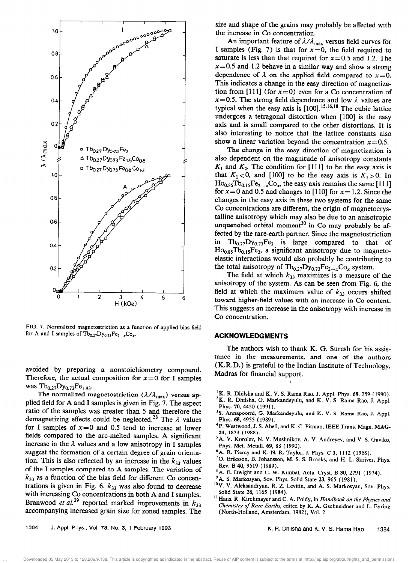

FIG. 7. Normalized magnetostriction as a function of applied bias field for A and I samples of  $Tb_{0,27}Dy_{0,73}Fe_{2-x}Co_x$ .

avoided by preparing a nonstoichiometry compound. Therefore, the actual composition for  $x=0$  for I samples was  $Tb_{0.27}Dy_{0.73}Fe_{1.93}$ .

The normalized magnetostriction ( $\lambda/\lambda_{\text{max}}$ ) versus applied field for A and I samples is given in Fig. 7. The aspect ratio of the samples was greater than 5 and therefore the demagnetizing effects could be neglected.<sup>28</sup> The  $\lambda$  values for I samples of  $x=0$  and 0.5 tend to increase at lower fields compared to the arc-melted samples. A significant increase in the  $\lambda$  values and a low anisotropy in I samples suggest the formation of a certain degree of grain orientation. This is also reflected by an increase in the  $k_{33}$  values of the I samples compared to A samples. The variation of  $k_{33}$  as a function of the bias field for different Co concentrations is given in Fig. 6.  $k_{33}$  was also found to decrease with increasing Co concentrations in both A and I samples. Branwood et al.<sup>29</sup> reported marked improvements in  $k_{33}$ accompanying increased grain size for zoned samples. The

size and shape of the grains may probably be affected with the increase in Co concentration.

An important feature of  $\lambda/\lambda_{\text{max}}$  versus field curves for I samples (Fig. 7) is that for  $x=0$ , the field required to saturate is less than that required for  $x=0.5$  and 1.2. The  $x=0.5$  and 1.2 behave in a similar way and show a strong dependence of  $\lambda$  on the applied field compared to  $x=0$ . This indicates a change in the easy direction of magnetization from [111] (for  $x=0$ ) even for a Co concentration of  $x=0.5$ . The strong field dependence and low  $\lambda$  values are typical when the easy axis is  $[100]$ .<sup>15,16,18</sup> The cubic lattice undergoes a tetragonal distortion when [lOO] is the easy axis and is small compared to the other distortions. It is also interesting to notice that the lattice constants also show a linear variation beyond the concentration  $x=0.5$ .

The change in the easy direction of magnetization is also dependent on the magnitude of anisotropy constants  $K_1$  and  $K_2$ . The condition for [111] to be the easy axis is that  $K_1 < 0$ , and [100] to be the easy axis is  $K_1 > 0$ . In  $Ho_{0.85}Tb_{0.15}Fe_{2-x}Co_x$ , the easy axis remains the same [111] for  $x=0$  and 0.5 and changes to [110] for  $x=1.2$ . Since the changes in the easy axis in these two systems for the same Co concentrations are different, the origin of magnetocrystalline anisotropy which may also be due to an anisotropic unquenched orbital moment<sup>30</sup> in Co may probably be affected by the rare-earth partner. Since the magnetostriction in  $Tb_{0.27}Dy_{0.73}Fe_2$  is large compared to that of  $Ho_{0.85}Tb_{0.15}Fe_2$ , a significant anisotropy due to magnetoelastic interactions would also probably be contributing to the total anisotropy of  $Tb_{0,27}Dy_{0,73}Fe_{2-x}Co_x$  system.

The field at which  $k_{33}$  maximizes is a measure of the anisotropy of the system. As can be seen from Fig. 6, the field at which the maximum value of  $k_{33}$  occurs shifted toward higher-field values with an increase in Co content. This suggests an increase in the anisotropy with increase in Co concentration.

#### ACKNOWLEDGMENTS

The authors wish to thank K. G. Suresh for his assistance in the measurements, and one of the authors (K.R.D.) is grateful to the Indian Institute of Technology, Madras for financial support.

<sup>1</sup>K. R. Dhilsha and K. V. S. Rama Rao, J. Appl. Phys. 68, 259 (1990).

j.

- <sup>2</sup>K. R. Dhilsha, G. Markandeyulu, and K. V. S. Rama Rao, J. Appl. Phys. 70, 4450 ( 1991).
- <sup>3</sup>S. Annapoorni, G. Markandeyulu, and K. V. S. Rama Rao, J. Appl. Phys. 65, 4955 (1989).
- 'P. Westwood, J. S. Abell, and K. C. Pitman, IEEE Trans. Magn. MAG-24, 1873 (1988).
- <sup>5</sup> A. V. Korolev, N. V. Mushnikov, A. V. Andreyev, and V. S. Gaviko, Phys. Met. Metall. 69, 88 ( 1990).
- <sup>6</sup> A. R. Piercy and K. N. R. Taylor, J. Phys. C 1, 1112 (1968).
- '0. Eriksson, B. Johansson, M. S. S. Brooks, and H. L. Skriver, Phys. Rev. B 40, 9519 (1989).
- A. E. Dwight and C. W. Kimbal, Acta. Cryst. B 30, 2791 (1974).
- <sup>9</sup>A. S. Markosyan, Sov. Phys. Solid State 23, 965 (1981).
- <sup>10</sup> V. V. Aleksandryan, R. Z. Levitin, and A. S. Markosyan, Sov. Phys. Solid State 26, 1165 (1984).
- <sup>11</sup> Hans. R. Kirchmayer and C. A. Poldy, in Handbook on the Physics and Chemistry of Rare Earths, edited by K. A. Gschneidner and L. Eyring (North-Holland, Amsterdam, 1982). Vol. 2.

1384 J. Appl. Phys., Vol. 73, No. 3, 1 February 1993

Downloaded 05 May 2013 to 128.206.9.138. This article is copyrighted as indicated in the abstract. Reuse of AIP content is subject to the terms at: http://jap.aip.org/about/rights\_and\_permissions